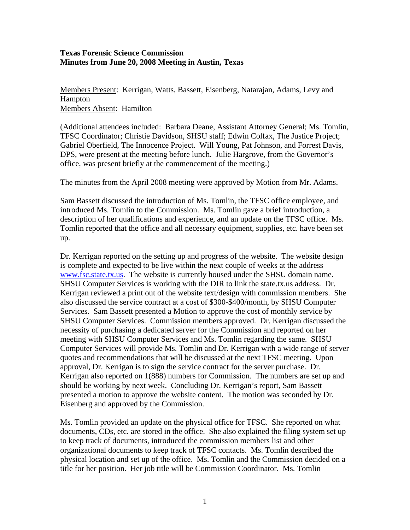## **Texas Forensic Science Commission Minutes from June 20, 2008 Meeting in Austin, Texas**

Members Present: Kerrigan, Watts, Bassett, Eisenberg, Natarajan, Adams, Levy and Hampton Members Absent: Hamilton

(Additional attendees included: Barbara Deane, Assistant Attorney General; Ms. Tomlin, TFSC Coordinator; Christie Davidson, SHSU staff; Edwin Colfax, The Justice Project; Gabriel Oberfield, The Innocence Project. Will Young, Pat Johnson, and Forrest Davis, DPS, were present at the meeting before lunch. Julie Hargrove, from the Governor's office, was present briefly at the commencement of the meeting.)

The minutes from the April 2008 meeting were approved by Motion from Mr. Adams.

Sam Bassett discussed the introduction of Ms. Tomlin, the TFSC office employee, and introduced Ms. Tomlin to the Commission. Ms. Tomlin gave a brief introduction, a description of her qualifications and experience, and an update on the TFSC office. Ms. Tomlin reported that the office and all necessary equipment, supplies, etc. have been set up.

Dr. Kerrigan reported on the setting up and progress of the website. The website design is complete and expected to be live within the next couple of weeks at the address [www.fsc.state.tx.us](http://www.fsc.state.tx.us/). The website is currently housed under the SHSU domain name. SHSU Computer Services is working with the DIR to link the state.tx.us address. Dr. Kerrigan reviewed a print out of the website text/design with commission members. She also discussed the service contract at a cost of \$300-\$400/month, by SHSU Computer Services. Sam Bassett presented a Motion to approve the cost of monthly service by SHSU Computer Services. Commission members approved. Dr. Kerrigan discussed the necessity of purchasing a dedicated server for the Commission and reported on her meeting with SHSU Computer Services and Ms. Tomlin regarding the same. SHSU Computer Services will provide Ms. Tomlin and Dr. Kerrigan with a wide range of server quotes and recommendations that will be discussed at the next TFSC meeting. Upon approval, Dr. Kerrigan is to sign the service contract for the server purchase. Dr. Kerrigan also reported on 1(888) numbers for Commission. The numbers are set up and should be working by next week. Concluding Dr. Kerrigan's report, Sam Bassett presented a motion to approve the website content. The motion was seconded by Dr. Eisenberg and approved by the Commission.

Ms. Tomlin provided an update on the physical office for TFSC. She reported on what documents, CDs, etc. are stored in the office. She also explained the filing system set up to keep track of documents, introduced the commission members list and other organizational documents to keep track of TFSC contacts. Ms. Tomlin described the physical location and set up of the office. Ms. Tomlin and the Commission decided on a title for her position. Her job title will be Commission Coordinator. Ms. Tomlin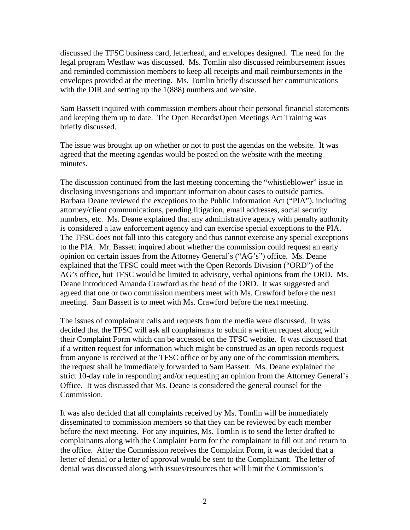discussed the TFSC business card, letterhead, and envelopes designed. The need for the legal program Westlaw was discussed. Ms. Tomlin also discussed reimbursement issues and reminded commission members to keep all receipts and mail reimbursements in the envelopes provided at the meeting. Ms. Tomlin briefly discussed her communications with the DIR and setting up the 1(888) numbers and website.

Sam Bassett inquired with commission members about their personal financial statements and keeping them up to date. The Open Records/Open Meetings Act Training was briefly discussed.

The issue was brought up on whether or not to post the agendas on the website. It was agreed that the meeting agendas would be posted on the website with the meeting minutes.

The discussion continued from the last meeting concerning the "whistleblower" issue in disclosing investigations and important information about cases to outside parties. Barbara Deane reviewed the exceptions to the Public Information Act ("PIA"), including attorney/client communications, pending litigation, email addresses, social security numbers, etc. Ms. Deane explained that any administrative agency with penalty authority is considered a law enforcement agency and can exercise special exceptions to the PIA. The TFSC does not fall into this category and thus cannot exercise any special exceptions to the PIA. Mr. Bassett inquired about whether the commission could request an early opinion on certain issues from the Attorney General's ("AG's") office. Ms. Deane explained that the TFSC could meet with the Open Records Division ("ORD") of the AG's office, but TFSC would be limited to advisory, verbal opinions from the ORD. Ms. Deane introduced Amanda Crawford as the head of the ORD. It was suggested and agreed that one or two commission members meet with Ms. Crawford before the next meeting. Sam Bassett is to meet with Ms. Crawford before the next meeting.

The issues of complainant calls and requests from the media were discussed. It was decided that the TFSC will ask all complainants to submit a written request along with their Complaint Form which can be accessed on the TFSC website. It was discussed that if a written request for information which might be construed as an open records request from anyone is received at the TFSC office or by any one of the commission members, the request shall be immediately forwarded to Sam Bassett. Ms. Deane explained the strict 10-day rule in responding and/or requesting an opinion from the Attorney General's Office. It was discussed that Ms. Deane is considered the general counsel for the Commission.

It was also decided that all complaints received by Ms. Tomlin will be immediately disseminated to commission members so that they can be reviewed by each member before the next meeting. For any inquiries, Ms. Tomlin is to send the letter drafted to complainants along with the Complaint Form for the complainant to fill out and return to the office. After the Commission receives the Complaint Form, it was decided that a letter of denial or a letter of approval would be sent to the Complainant. The letter of denial was discussed along with issues/resources that will limit the Commission's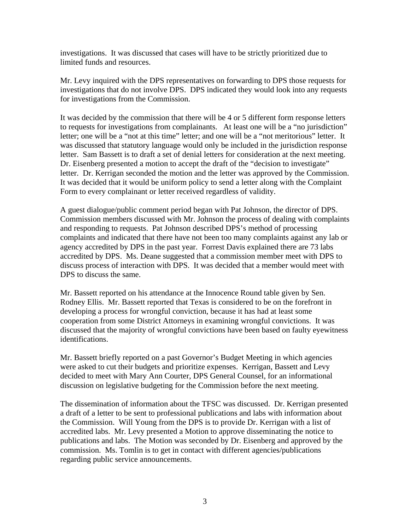investigations. It was discussed that cases will have to be strictly prioritized due to limited funds and resources.

Mr. Levy inquired with the DPS representatives on forwarding to DPS those requests for investigations that do not involve DPS. DPS indicated they would look into any requests for investigations from the Commission.

It was decided by the commission that there will be 4 or 5 different form response letters to requests for investigations from complainants. At least one will be a "no jurisdiction" letter; one will be a "not at this time" letter; and one will be a "not meritorious" letter. It was discussed that statutory language would only be included in the jurisdiction response letter. Sam Bassett is to draft a set of denial letters for consideration at the next meeting. Dr. Eisenberg presented a motion to accept the draft of the "decision to investigate" letter. Dr. Kerrigan seconded the motion and the letter was approved by the Commission. It was decided that it would be uniform policy to send a letter along with the Complaint Form to every complainant or letter received regardless of validity.

A guest dialogue/public comment period began with Pat Johnson, the director of DPS. Commission members discussed with Mr. Johnson the process of dealing with complaints and responding to requests. Pat Johnson described DPS's method of processing complaints and indicated that there have not been too many complaints against any lab or agency accredited by DPS in the past year. Forrest Davis explained there are 73 labs accredited by DPS. Ms. Deane suggested that a commission member meet with DPS to discuss process of interaction with DPS. It was decided that a member would meet with DPS to discuss the same.

Mr. Bassett reported on his attendance at the Innocence Round table given by Sen. Rodney Ellis. Mr. Bassett reported that Texas is considered to be on the forefront in developing a process for wrongful conviction, because it has had at least some cooperation from some District Attorneys in examining wrongful convictions. It was discussed that the majority of wrongful convictions have been based on faulty eyewitness identifications.

Mr. Bassett briefly reported on a past Governor's Budget Meeting in which agencies were asked to cut their budgets and prioritize expenses. Kerrigan, Bassett and Levy decided to meet with Mary Ann Courter, DPS General Counsel, for an informational discussion on legislative budgeting for the Commission before the next meeting.

The dissemination of information about the TFSC was discussed. Dr. Kerrigan presented a draft of a letter to be sent to professional publications and labs with information about the Commission. Will Young from the DPS is to provide Dr. Kerrigan with a list of accredited labs. Mr. Levy presented a Motion to approve disseminating the notice to publications and labs. The Motion was seconded by Dr. Eisenberg and approved by the commission. Ms. Tomlin is to get in contact with different agencies/publications regarding public service announcements.